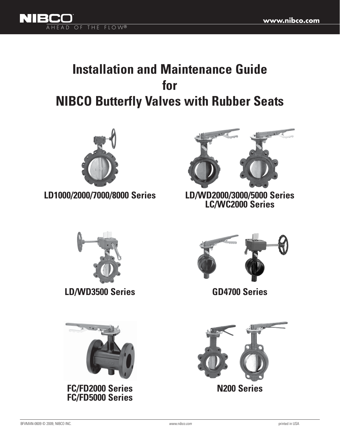

# **Installation and Maintenance Guide for NIBCO Butterfly Valves with Rubber Seats**



**LD1000/2000/7000/8000 Series LD/WD2000/3000/5000 Series**



**LD/WD3500 Series**



**FC/FD2000 Series FC/FD5000 Series**



**LC/WC2000 Series**



**GD4700 Series**

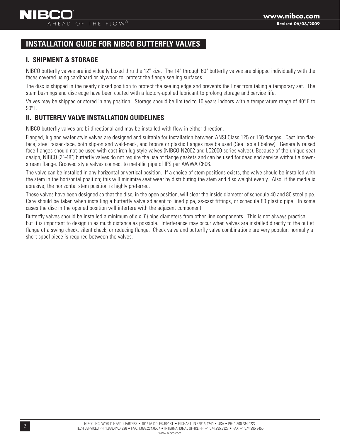# **INSTALLATION GUIDE FOR NIBCO BUTTERFLY VALVES**

# **I. SHIPMENT & STORAGE**

NIBCO butterfly valves are individually boxed thru the 12" size. The 14" through 60" butterfly valves are shipped individually with the faces covered using cardboard or plywood to protect the flange sealing surfaces.

The disc is shipped in the nearly closed position to protect the sealing edge and prevents the liner from taking a temporary set. The stem bushings and disc edge have been coated with a factory-applied lubricant to prolong storage and service life.

Valves may be shipped or stored in any position. Storage should be limited to 10 years indoors with a temperature range of 40º F to 90º F.

# **II. BUTTERFLY VALVE INSTALLATION GUIDELINES**

NIBCO butterfly valves are bi-directional and may be installed with flow in either direction.

Flanged, lug and wafer style valves are designed and suitable for installation between ANSI Class 125 or 150 flanges. Cast iron flatface, steel raised-face, both slip-on and weld-neck, and bronze or plastic flanges may be used (See Table I below). Generally raised face flanges should not be used with cast iron lug style valves (NIBCO N2002 and LC2000 series valves). Because of the unique seat design, NIBCO (2"-48") butterfly valves do not require the use of flange gaskets and can be used for dead end service without a downstream flange. Grooved style valves connect to metallic pipe of IPS per AWWA C606.

The valve can be installed in any horizontal or vertical position. If a choice of stem positions exists, the valve should be installed with the stem in the horizontal position; this will minimize seat wear by distributing the stem and disc weight evenly. Also, if the media is abrasive, the horizontal stem position is highly preferred.

These valves have been designed so that the disc, in the open position, will clear the inside diameter of schedule 40 and 80 steel pipe. Care should be taken when installing a butterfly valve adjacent to lined pipe, as-cast fittings, or schedule 80 plastic pipe. In some cases the disc in the opened position will interfere with the adjacent component.

Butterfly valves should be installed a minimum of six (6) pipe diameters from other line components. This is not always practical but it is important to design in as much distance as possible. Interference may occur when valves are installed directly to the outlet flange of a swing check, silent check, or reducing flange. Check valve and butterfly valve combinations are very popular; normally a short spool piece is required between the valves.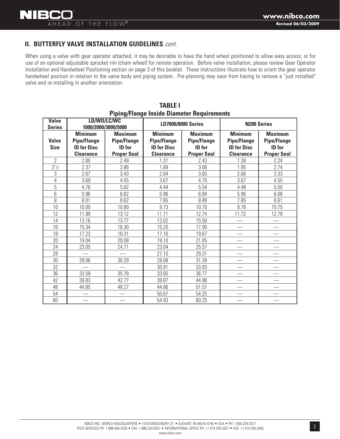### **II. BUTTERFLY VALVE INSTALLATION GUIDELINES** *cont.*

When using a valve with gear operator attached, it may be desirable to have the hand wheel positioned to allow easy access, or for use of an optional adjustable sprocket rim (chain wheel) for remote operation. Before valve installation, please review Gear Operator Installation and Handwheel Positioning section on page 3 of this booklet. These instructions illustrate how to orient the gear operator handwheel position in relation to the valve body and piping system. Pre-planning may save from having to remove a "just installed" valve and re-installing in another orientation.

| <b>Valve</b><br><b>Series</b> |                                                                                | v<br>LD/WD/LC/WC<br>1000/2000/3000/5000                                     |                                                                                | <b>LD7000/8000 Series</b>                                                   | <b>N200 Series</b>                                                             |                                                                             |  |
|-------------------------------|--------------------------------------------------------------------------------|-----------------------------------------------------------------------------|--------------------------------------------------------------------------------|-----------------------------------------------------------------------------|--------------------------------------------------------------------------------|-----------------------------------------------------------------------------|--|
| <b>Valve</b><br><b>Size</b>   | <b>Minimum</b><br><b>Pipe/Flange</b><br><b>ID for Disc</b><br><b>Clearance</b> | <b>Maximum</b><br><b>Pipe/Flange</b><br><b>ID</b> for<br><b>Proper Seal</b> | <b>Minimum</b><br><b>Pipe/Flange</b><br><b>ID for Disc</b><br><b>Clearance</b> | <b>Maximum</b><br><b>Pipe/Flange</b><br><b>ID</b> for<br><b>Proper Seal</b> | <b>Minimum</b><br><b>Pipe/Flange</b><br><b>ID for Disc</b><br><b>Clearance</b> | <b>Maximum</b><br><b>Pipe/Flange</b><br><b>ID</b> for<br><b>Proper Seal</b> |  |
| $\overline{2}$                | 2.00                                                                           | 2.49                                                                        | 1.31                                                                           | 2.43                                                                        | 1.38                                                                           | 2.24                                                                        |  |
| $2^{1/2}$                     | 2.37                                                                           | 2.86                                                                        | 1.89                                                                           | 3.06                                                                        | 1.95                                                                           | 2.74                                                                        |  |
| 3                             | 2.67                                                                           | 3.43                                                                        | 2.64                                                                           | 3.65                                                                        | 2.66                                                                           | 3.33                                                                        |  |
| 4                             | 3.69                                                                           | 4.55                                                                        | 3.67                                                                           | 4.75                                                                        | 3.67                                                                           | 4.55                                                                        |  |
| 5                             | 4.76                                                                           | 5.62                                                                        | 4.44                                                                           | 5.54                                                                        | 4.48                                                                           | 5.50                                                                        |  |
| 6                             | 5.96                                                                           | 6.62                                                                        | 5.96                                                                           | 6.84                                                                        | 5.96                                                                           | 6.66                                                                        |  |
| 8                             | 8.01                                                                           | 8.62                                                                        | 7.85                                                                           | 8.89                                                                        | 7.85                                                                           | 8.61                                                                        |  |
| 10                            | 10.00                                                                          | 10.80                                                                       | 9.73                                                                           | 10.70                                                                       | 9.76                                                                           | 10.75                                                                       |  |
| 12                            | 11.99                                                                          | 13.12                                                                       | 11.71                                                                          | 12.74                                                                       | 11.72                                                                          | 12.79                                                                       |  |
| 14                            | 13.16                                                                          | 13.77                                                                       | 13.02                                                                          | 15.50                                                                       |                                                                                |                                                                             |  |
| 16                            | 15.34                                                                          | 16.30                                                                       | 15.20                                                                          | 17.90                                                                       |                                                                                |                                                                             |  |
| 18                            | 17.23                                                                          | 18.31                                                                       | 17.16                                                                          | 19.67                                                                       |                                                                                |                                                                             |  |
| 20                            | 19.04                                                                          | 20.08                                                                       | 19.10                                                                          | 21.05                                                                       |                                                                                |                                                                             |  |
| 24                            | 23.05                                                                          | 24.71                                                                       | 23.04                                                                          | 25.57                                                                       |                                                                                |                                                                             |  |
| 28                            |                                                                                |                                                                             | 27.10                                                                          | 29.31                                                                       |                                                                                |                                                                             |  |
| 30                            | 29.06                                                                          | 30.29                                                                       | 29.08                                                                          | 31.28                                                                       |                                                                                |                                                                             |  |
| 32                            |                                                                                |                                                                             | 30.91                                                                          | 33.93                                                                       |                                                                                |                                                                             |  |
| 36                            | 33.59                                                                          | 35.78                                                                       | 33.60                                                                          | 36.77                                                                       |                                                                                |                                                                             |  |
| 42                            | 39.83                                                                          | 42.77                                                                       | 39.87                                                                          | 44.96                                                                       |                                                                                |                                                                             |  |
| 48                            | 44.85                                                                          | 48.27                                                                       | 44.86                                                                          | 51.57                                                                       |                                                                                |                                                                             |  |
| 54                            |                                                                                |                                                                             | 50.67                                                                          | 54.25                                                                       |                                                                                |                                                                             |  |
| 60                            |                                                                                |                                                                             | 54.93                                                                          | 60.25                                                                       |                                                                                |                                                                             |  |

#### **TABLE I Piping/Flange Inside Diameter Requirements**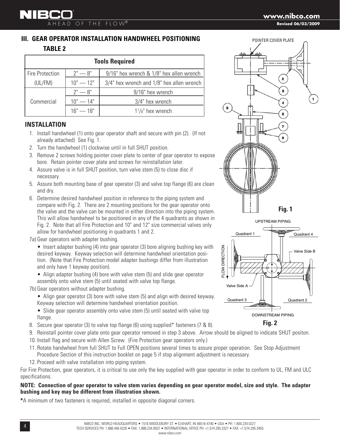# **III. GEAR OPERATOR INSTALLATION HANDWHEEL POSITIONING TABLE 2**

| <b>Tools Required</b>  |             |                                                 |  |  |  |
|------------------------|-------------|-------------------------------------------------|--|--|--|
| <b>Fire Protection</b> | $2" - 8"$   | 9/16" hex wrench & 1/8" hex allen wrench        |  |  |  |
| (UL/FM)                | $10" - 12"$ | $3/4$ " hex wrench and $1/8$ " hex allen wrench |  |  |  |
|                        | $2" - 8"$   | 9/16" hex wrench                                |  |  |  |
| Commercial             | $10" - 14"$ | 3/4" hex wrench                                 |  |  |  |
|                        | $16" - 18"$ | $1\frac{1}{8}$ " hex wrench                     |  |  |  |

# **INSTALLATION**

- 1. Install handwheel (1) onto gear operator shaft and secure with pin (2). (If not already attached) See Fig. 1.
- 2. Turn the handwheel (1) clockwise until in full SHUT position.
- 3. Remove 2 screws holding pointer cover plate to center of gear operator to expose bore. Retain pointer cover plate and screws for reinstallation later.
- 4. Assure valve is in full SHUT position, turn valve stem (5) to close disc if necessary.
- 5. Assure both mounting base of gear operator (3) and valve top flange (6) are clean and dry.
- 6. Determine desired handwheel position in reference to the piping system and compare with Fig. 2. There are 2 mounting positions for the gear operator onto the valve and the valve can be mounted in either direction into the piping system. This will allow handwheel to be positioned in any of the 4 quadrants as shown in Fig. 2. Note that all Fire Protection and 10" and 12" size commercial valves only allow for handwheel positioning in quadrants 1 and 2.
- 7a) Gear operators with adapter bushing.

 • Insert adapter bushing (4) into gear operator (3) bore aligning bushing key with desired keyway. Keyway selection will determine handwheel orientation position. (Note that Fire Protection model adapter bushings differ from illustration and only have 1 keyway position).

 • Align adapter bushing (4) bore with valve stem (5) and slide gear operator assembly onto valve stem (5) until seated with valve top flange.

- 7b) Gear operators without adapter bushing.
	- Align gear operator (3) bore with valve stem (5) and align with desired keyway. Keyway selection will determine handwheel orientation position.
	- Slide gear operator assembly onto valve stem (5) until seated with valve top flange.
- 8. Secure gear operator (3) to valve top flange (6) using supplied\* fasteners (7 & 8).
- 9. Reinstall pointer cover plate onto gear operator removed in step 3 above. Arrow should be aligned to indicate SHUT positon.
- 10. Install flag and secure with Allen Screw. (Fire Protection gear operators only.)
- 11. Rotate handwheel from full SHUT to Full OPEN positions several times to assure proper operation. See Stop Adjustment Procedure Section of this instruction booklet on page 5 if stop alignment adjustment is necessary.
- 12. Proceed with valve installation into piping system.

For Fire Protection, gear operators, it is critical to use only the key supplied with gear operator in order to conform to UL, FM and ULC specifications.

#### **NOTE: Connection of gear operator to valve stem varies depending on gear operator model, size and style. The adapter bushing and key may be different from illustration shown.**

**\***A minimum of two fasteners is required, installed in opposite diagonal corners.



DOWNSTREAM PIPING

**Fig. 2**

**Revised 06/03/2009**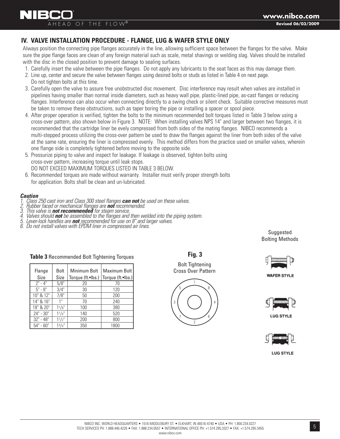## **IV. VALVE INSTALLATION PROCEDURE - FLANGE, LUG & WAFER STYLE ONLY**

Always position the connecting pipe flanges accurately in the line, allowing sufficient space between the flanges for the valve. Make sure the pipe flange faces are clean of any foreign material such as scale, metal shavings or welding slag. Valves should be installed with the disc in the closed position to prevent damage to sealing surfaces.

- 1. Carefully insert the valve between the pipe flanges. Do not apply any lubricants to the seat faces as this may damage them.
- 2. Line up, center and secure the valve between flanges using desired bolts or studs as listed in Table 4 on next page.
- Do not tighten bolts at this time.
- 3. Carefully open the valve to assure free unobstructed disc movement. Disc interference may result when valves are installed in pipelines having smaller than normal inside diameters, such as heavy wall pipe, plastic-lined pipe, as-cast flanges or reducing flanges. Interference can also occur when connecting directly to a swing check or silent check. Suitable corrective measures must be taken to remove these obstructions, such as taper boring the pipe or installing a spacer or spool piece.
- 4. After proper operation is verified, tighten the bolts to the minimum recommended bolt torques listed in Table 3 below using a cross-over pattern, also shown below in Figure 3. NOTE: When installing valves NPS 14" and larger between two flanges, it is recommended that the cartridge liner be evely compressed from both sides of the mating flanges. NIBCO recommends a multi-stepped process utilizing the cross-over pattern be used to draw the flanges against the liner from both sides of the valve at the same rate, ensuring the liner is compressed evenly. This method differs from the practice used on smaller valves, wherein one flange side is completely tightened before moving to the opposite side.

**Fig. 3**

Bolt Tightening Cross Over Pattern

1

8

6

4

2

3

5

7

- 5. Pressurize piping to valve and inspect for leakage. If leakage is observed, tighten bolts using cross-over pattern, increasing torque until leak stops. DO NOT EXCEED MAXIMUM TORQUES LISTED IN TABLE 3 BELOW.
- 6. Recommended torques are made without warranty. Installer must verify proper strength bolts for application. Bolts shall be clean and un-lubricated.

# *Caution*

- **1. Class 250 cast iron and Class 300 steel flanges <b>can not** be used on these valves.<br>
2. Rubber faced or mechanical flanges are **not** recommended.<br>
3. This valve is **not recommended** for steam service.<br>
4. Valves should
- *2. Rubber faced or mechanical flanges are not recommended.*
- *3. This valve is not recommended for steam service.*
- 4. Valves should **not** be assembled to the flanges and then welded into the piping system.<br>5. Lever-lock handles are **not** recommended for use on 8" and larger valves.<br>6. Do not install valves with EPDM liner in compressed
- 
- 

**Suggested** Bolting Methods



**WAFER STYLE** 



**LUG STYLE** 



**LUG STYLE** 

| Table 3 Recommended Bolt Tightening Torques |
|---------------------------------------------|

| Flange      | <b>Bolt</b>     | Minimum Bolt      | Maximum Bolt      |
|-------------|-----------------|-------------------|-------------------|
| Size        | Size            | Torque (ft.•lbs.) | Torque (ft.•lbs.) |
| $2" - 4"$   | 5/8"            | 20                | 70                |
| $5" - 8"$   | 3/4"            | 30                | 120               |
| 10" & 12"   | 7/8"            | 50                | 200               |
| 14" & 16"   | 1 <sup>II</sup> | 70                | 240               |
| 18" & 20"   | 11/s''          | 100               | 380               |
| $24" - 30"$ | $1^{1}/4$ "     | 140               | 520               |
| $32" - 48"$ | 11/2"           | 200               | 800               |
| $54" - 60"$ | 13/4"           | 350               | 1800              |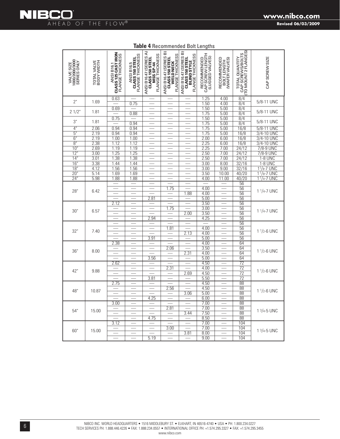

| 1000/2000/3000<br>SERIES ONLY<br><b>VALVE SIZE</b> | TOTAL VALVE<br>BODY WIDTH | ANSI B16.1<br>CLASS 125 CAST IRON<br><b>FLANGE THICKNESS</b> | FLANGE THICKNESS<br>CLASS 150 STEEL<br><b>ANSI B16.5</b> | ANSI B16.47 (SERIES A)<br>CLASS 150 STEEL<br>FLANGE THICKNESS<br>MSS SP-44 | ANSI B16.47 (SERIES B)<br>FLANGE THICKNESS<br>CLASS 150 STEEL<br>WELD NECK | ANSI B16.47 (SERIES B)<br>CLASS 150 STEEL<br>FLANGE THICKNESS<br><b>BLIND STYLE</b> | RECOMMENDED<br>CAP SCREW LENGTH<br>(LUGGED VALVES) | RECOMMENDED<br>BOLT LENGTH<br>(WAFER VALVES) | TOTAL QUANTITY<br>CAP SCREWS/BOLTS<br>(TO MOUNT 2 FLANGES) | CAP SCREW SIZE                       |
|----------------------------------------------------|---------------------------|--------------------------------------------------------------|----------------------------------------------------------|----------------------------------------------------------------------------|----------------------------------------------------------------------------|-------------------------------------------------------------------------------------|----------------------------------------------------|----------------------------------------------|------------------------------------------------------------|--------------------------------------|
| 2"                                                 | 1.69                      | 0.63                                                         | 0.75                                                     | $\overline{\phantom{0}}$                                                   | ÷                                                                          |                                                                                     | 1.25<br>1.50                                       | 4.00                                         | 8/4<br>8/4                                                 | 5/8-11 UNC                           |
|                                                    |                           | 0.69                                                         |                                                          |                                                                            |                                                                            |                                                                                     | 1.50                                               | 4.00<br>5.00                                 | $\overline{8/4}$                                           |                                      |
| 21/2"                                              | 1.81                      |                                                              | 0.88                                                     |                                                                            |                                                                            |                                                                                     | 1.75                                               | 5.00                                         | $\sqrt{8}/4$                                               | 5/8-11 UNC                           |
| 3"                                                 | 1.81                      | 0.75                                                         | 0.94                                                     |                                                                            |                                                                            |                                                                                     | 1.50<br>1.75                                       | 5.00<br>5.00                                 | 8/4<br>8/4                                                 | 5/8-11 UNC                           |
| 4"                                                 | 2.06                      | 0.94                                                         | 0.94                                                     |                                                                            |                                                                            |                                                                                     | 1.75                                               | 5.00                                         | 16/8                                                       | 5/8-11 UNC                           |
| 5"                                                 | 2.19                      | 0.94                                                         | 0.94                                                     |                                                                            |                                                                            |                                                                                     | 1.75                                               | 5.00                                         | 16/8                                                       | $\frac{3}{4}$ -10 UNC                |
| 6'                                                 | 2.19                      | 1.00                                                         | 1.00                                                     |                                                                            |                                                                            |                                                                                     | 2.00                                               | 6.00                                         | 16/8                                                       | <b>UNC</b><br>$3/4 - 10$             |
| $\overline{8}$                                     | 2.38                      | 1.12                                                         | 1.12                                                     |                                                                            |                                                                            |                                                                                     | 2.25                                               | 6.00                                         | 16/8                                                       | $\frac{3}{4-10}$<br><b>UNC</b>       |
| 10                                                 | 2.69                      | 1.19                                                         | 1.19                                                     |                                                                            | $\overline{\phantom{0}}$                                                   |                                                                                     | 2.25                                               | 7.00                                         | 24/12                                                      | 7/8-9 UNC                            |
| 12"                                                | 3.00                      | 1.25                                                         | 1.25                                                     | $\overline{\phantom{0}}$                                                   |                                                                            |                                                                                     | 2.50                                               | 7.00                                         | 24/12                                                      | 7/8-9 UNC                            |
| 14'                                                | 3.01                      | 1.38                                                         | 1.38                                                     |                                                                            |                                                                            |                                                                                     | 2.50                                               | 7.00                                         | 24/12                                                      | <b>1-8 UNC</b>                       |
| 16'                                                | 3.38                      | 1.44                                                         | 1.44                                                     |                                                                            |                                                                            |                                                                                     | 3.00                                               | 8.00                                         | 32/16                                                      | 1-8 UNC                              |
| $\overline{18}$                                    | 4.12                      | 1.56                                                         | 1.56                                                     |                                                                            | $\frac{1}{2}$                                                              |                                                                                     | 3.00                                               | 9.00                                         | 32/16                                                      | $11/8 - 7$ UNC                       |
| $\overline{20}$                                    | 5.14                      | 1.69                                                         | 1.69                                                     |                                                                            |                                                                            |                                                                                     | 3.50                                               | 10.00                                        | 40/20                                                      | $1/8 - 7$ UNC<br>1                   |
| 24"                                                | 5.98                      | 1.88                                                         | 1.88                                                     |                                                                            |                                                                            |                                                                                     | 4.00                                               | 11.00                                        | 40/20                                                      | 1 <sup>1</sup> / <sub>4</sub> -7 UNC |
|                                                    |                           |                                                              |                                                          |                                                                            |                                                                            |                                                                                     |                                                    |                                              | 56                                                         |                                      |
| 28"                                                | 6.42                      |                                                              |                                                          | $\overline{\phantom{0}}$                                                   | 1.75                                                                       |                                                                                     | 4.00                                               |                                              | 56<br>56                                                   | 1 1/4-7 UNC                          |
|                                                    |                           |                                                              |                                                          |                                                                            |                                                                            | 1.88                                                                                | 4.00<br>5.00                                       |                                              | 56                                                         |                                      |
|                                                    |                           | 2.12                                                         |                                                          | 2.81                                                                       |                                                                            |                                                                                     | 3.50                                               |                                              | 56                                                         |                                      |
|                                                    |                           |                                                              |                                                          |                                                                            | 1.75                                                                       |                                                                                     | 3.00                                               |                                              | 56                                                         |                                      |
| 30"                                                | 6.57                      |                                                              | $\overline{\phantom{0}}$                                 |                                                                            |                                                                            | 2.00                                                                                | 3.50                                               |                                              | 56                                                         | 1 1/4-7 UNC                          |
|                                                    |                           |                                                              | $\overline{\phantom{0}}$                                 | 2.94                                                                       |                                                                            |                                                                                     | 4.25                                               |                                              | 56                                                         |                                      |
|                                                    |                           |                                                              |                                                          |                                                                            |                                                                            |                                                                                     |                                                    |                                              | 56                                                         |                                      |
|                                                    |                           |                                                              |                                                          |                                                                            | 1.81                                                                       |                                                                                     | 4.00                                               |                                              | 56                                                         |                                      |
| 32"                                                | 7.40                      |                                                              |                                                          |                                                                            |                                                                            | 2.13                                                                                | 4.00                                               |                                              | 56                                                         | $1\frac{1}{2}$ -6 UNC                |
|                                                    |                           |                                                              | $\qquad \qquad$                                          | 3.91                                                                       |                                                                            |                                                                                     | 5.00                                               |                                              | 56                                                         |                                      |
|                                                    |                           | 2.38                                                         |                                                          |                                                                            |                                                                            |                                                                                     | 4.00                                               |                                              | 64                                                         |                                      |
|                                                    |                           |                                                              |                                                          |                                                                            | 2.06                                                                       |                                                                                     | 3.50                                               |                                              | 64                                                         |                                      |
| 36"                                                | 8.00                      |                                                              |                                                          |                                                                            |                                                                            | 2.31                                                                                | 4.00                                               |                                              | 64                                                         | $11/2 - 6$ UNC                       |
|                                                    |                           |                                                              |                                                          | 3.56                                                                       |                                                                            |                                                                                     | 5.00                                               |                                              | 64                                                         |                                      |
|                                                    |                           | 2.62                                                         |                                                          |                                                                            |                                                                            |                                                                                     | 4.50                                               |                                              | $\overline{72}$                                            |                                      |
| 42"                                                | 9.88                      |                                                              |                                                          |                                                                            | 2.31                                                                       |                                                                                     | 4.00                                               |                                              | $\overline{72}$                                            | $11/2 - 6$ UNC                       |
|                                                    |                           |                                                              |                                                          |                                                                            |                                                                            | 2.69                                                                                | 4.50                                               |                                              | $\overline{72}$                                            |                                      |
|                                                    |                           |                                                              |                                                          | 3.81                                                                       |                                                                            |                                                                                     | $\overline{5.50}$                                  |                                              | $\overline{72}$                                            |                                      |
|                                                    |                           | 2.75                                                         | $\frac{1}{2}$                                            | $\frac{1}{2}$                                                              |                                                                            |                                                                                     | 4.50                                               |                                              | $\overline{88}$                                            |                                      |
| 48"                                                | 10.87                     |                                                              |                                                          | $\overline{\phantom{0}}$                                                   | 2.56                                                                       |                                                                                     | 4.50                                               |                                              | $\overline{88}$                                            | $1\frac{1}{2}$ -6 UNC                |
|                                                    |                           |                                                              |                                                          | 4.25                                                                       |                                                                            | 3.06                                                                                | 5.00                                               |                                              | $\overline{88}$                                            |                                      |
|                                                    |                           | 3.00                                                         |                                                          |                                                                            |                                                                            |                                                                                     | 6.00<br>7.00                                       |                                              | $\overline{88}$<br>88                                      |                                      |
|                                                    |                           |                                                              |                                                          |                                                                            | 2.81                                                                       |                                                                                     | 7.00                                               |                                              | 88                                                         |                                      |
| 54"                                                | 15.00                     |                                                              |                                                          |                                                                            |                                                                            | 3.44                                                                                | 7.50                                               |                                              | 88                                                         | $1\frac{3}{4}$ -5 UNC                |
|                                                    |                           |                                                              |                                                          | 4.75                                                                       |                                                                            |                                                                                     | 8.50                                               |                                              | 88                                                         |                                      |
|                                                    |                           | 3.12                                                         |                                                          |                                                                            |                                                                            |                                                                                     | 7.00                                               |                                              | 104                                                        |                                      |
|                                                    |                           |                                                              | ÷                                                        |                                                                            | 3.00                                                                       |                                                                                     | 7.00                                               |                                              | 104                                                        |                                      |
| 60"                                                | 15.00                     |                                                              |                                                          |                                                                            |                                                                            | 3.81                                                                                | 8.00                                               |                                              | 104                                                        | $1 \frac{3}{4} - 5$ UNC              |
|                                                    |                           |                                                              |                                                          | 5.19                                                                       |                                                                            |                                                                                     | 9.00                                               |                                              | 104                                                        |                                      |

**Table 4** Recommended Bolt Lengths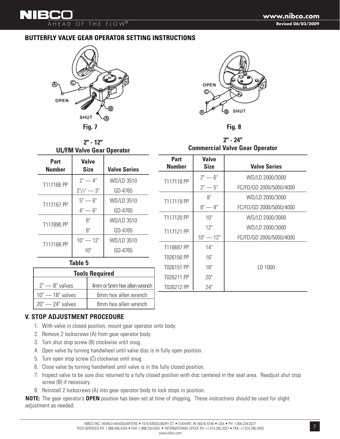### **BUTTERFLY VALVE GEAR OPERATOR SETTING INSTRUCTIONS**



AHEAD OF THE FLOW®

▚▎▎▏▆▞▆



**2" - 24"**

**Tools Required**  $2^{\degree}$   $-$  8 $^{\degree}$  valves  $4^{\degree}$  4mm or 5mm hex allen wrench **2" - 12" UL/FM Valve Gear Operator** Part | Valve **Number | Size | Valve Series** T117166 PP  $\begin{array}{|c|c|c|c|c|} \hline 2^n-4^n & \text{WD/LD 3510} \ \hline 2^1/2^n-3^n & \text{GD-4765} \ \hline \end{array}$  $\vert$  2<sup>1</sup> GD-4765 T117167 PP  $\begin{array}{|l|c|c|c|c|} \hline 5"&-6"&\text{WD/LD 3510} \ \hline 4"&-6"&\text{GD-4765} \end{array}$ GD-4765 T117890 PP  $\begin{array}{|c|c|c|c|c|} \hline 8" & & \text{WD/LD 3510} \ \hline 8" & & \text{GD-4765} \ \hline \end{array}$ GD-4765 T117168 PP  $\begin{array}{|c|c|c|c|c|} \hline 10^{\circ} & -12^{\circ} & \text{WD/LD 3510} \ \hline 10^{\circ} & \text{GD-4765} \end{array}$ GD-4765 **Commercial Valve Gear Operator** Part | Valve **Number Size Valve Series** T117118 PP  $\begin{array}{|c|c|c|c|c|}\n\hline\n2^{\circ} & -6^{\circ} & \text{WD/LD 2000/3000} \\
2^{\circ} & -5^{\circ} & \text{FC/FD/GD 2000/5000/4}\n\hline\n\end{array}$ FC/FD/GD 2000/5000/4000 T117119 PP  $\begin{array}{|c|c|c|c|c|}\n\hline\n & 8" & & & \text{WD/LD 2000/3000} \\
 & 6" & & & \text{FC/FD/GD 2000/5000/4}\n\hline\n\end{array}$ FC/FD/GD 2000/5000/4000 T117120 PP | 10" | WD/LD 2000/3000 T117121 PP  $\begin{array}{|c|c|c|c|c|}\n12" & & & \text{WD/LD 2000/3000} \\
 & 10" & -12" & & & \n\end{array}$  FC/FD/GD 2000/5000/4 10" — 12" FC/FD/GD 2000/5000/4000 T116697 PP | 14" T026150 PP | 16" T026151 PP | 18" | LD 1000 T026211 PP | 20" T026212 PP | 24" **Table 5**

### **V. STOP ADJUSTMENT PROCEDURE**

- 1. With valve in closed position, mount gear operator onto body.
- 2. Remove 2 lockscrews (A) from gear operator body.

10" — 18" valves | 6mm hex allen wrench  $20"$  — 24" valves  $\overline{1}$  8mm hex allen wrench

- 3. Turn shut stop screw (B) clockwise until snug.
- 4. Open valve by turning handwheel until valve disc is in fully open position.
- 5. Turn open stop screw (C) clockwise until snug.
- 6. Close valve by turning handwheel until valve is in the fully closed position.
- 7. Inspect valve to be sure disc returned to a fully closed position with disc centered in the seat area. Readjust shut stop screw (B) if necessary.
- 8. Reinstall 2 lockscrews (A) into gear operator body to lock stops in position.

**NOTE:** The gear operator's **OPEN** position has been set at time of shipping. These instructions should be used for slight adjustment as needed.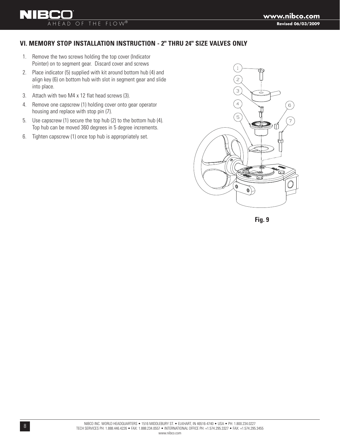# AHEAD OF THE FLOW®

**NIB** 

# **VI. MEMORY STOP INSTALLATION INSTRUCTION - 2" THRU 24" SIZE VALVES ONLY**

- 1. Remove the two screws holding the top cover (Indicator Pointer) on to segment gear. Discard cover and screws
- 2. Place indicator (5) supplied with kit around bottom hub (4) and align key (6) on bottom hub with slot in segment gear and slide into place.
- 3. Attach with two M4 x 12 flat head screws (3).
- 4. Remove one capscrew (1) holding cover onto gear operator housing and replace with stop pin (7).
- 5. Use capscrew (1) secure the top hub (2) to the bottom hub (4). Top hub can be moved 360 degrees in 5 degree increments.
- 6. Tighten capscrew (1) once top hub is appropriately set.



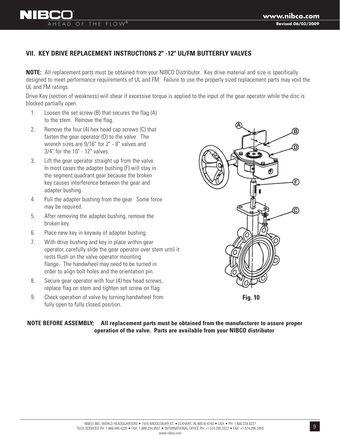# **VII. KEY DRIVE REPLACEMENT INSTRUCTIONS 2" -12" UL/FM BUTTERFLY VALVES**

**NOTE:** All replacement parts must be obtained from your NIBCO Distributor. Key drive material and size is specifically designed to meet performance requirements of UL and FM. Failure to use the properly sized replacement parts may void the UL and FM ratings.

Drive Key (section of weakness) will shear if excessive torque is applied to the input of the gear operator while the disc is blocked partially open.

1. Loosen the set screw (B) that secures the flag (A) to the stem. Remove the flag.

AHEAD OF THE FLOW®

- 2. Remove the four (4) hex head cap screws (C) that fasten the gear operator (D) to the valve. The wrench sizes are 9/16" for 2" - 8" valves and 3/4" for the 10" - 12" valves.
- 3. Lift the gear operator straight up from the valve. In most cases the adapter bushing (F) will stay in the segment quadrant gear because the broken key causes interference between the gear and adapter bushing.
- 4. Pull the adapter bushing from the gear. Some force may be required.
- 5. After removing the adapter bushing, remove the broken key.
- 6. Place new key in keyway of adapter bushing.
- 7. With drive bushing and key in place within gear operator, carefully slide the gear operator over stem until it rests flush on the valve operator mounting flange. The handwheel may need to be turned in order to align bolt holes and the orientation pin.
- 8. Secure gear operator with four (4) hex head screws, replace flag on stem and tighten set screw on flag.
- 9. Check operation of valve by turning handwheel from fully open to fully closed position.

F)

**Fig. 10**

**NOTE BEFORE ASSEMBLY; All replacement parts must be obtained from the manufacturer to assure proper operation of the valve. Parts are available from your NIBCO distributor**